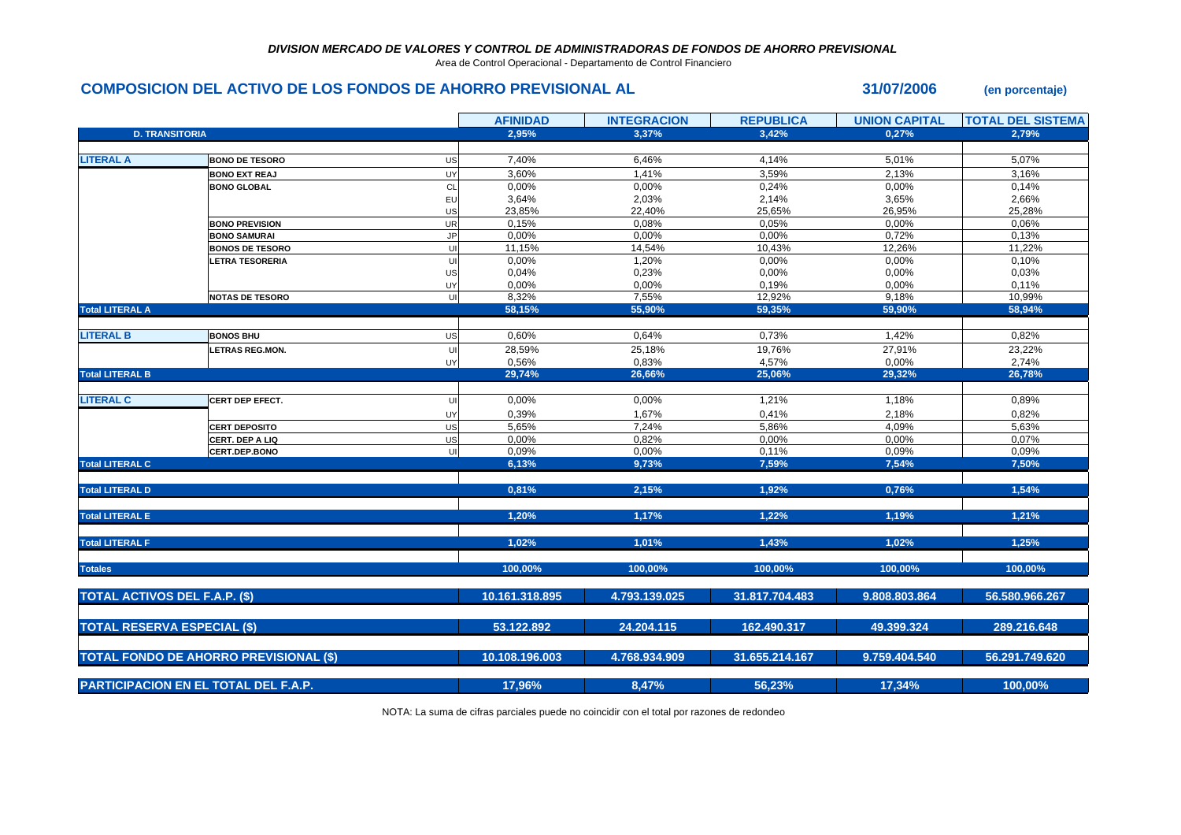## *DIVISION MERCADO DE VALORES Y CONTROL DE ADMINISTRADORAS DE FONDOS DE AHORRO PREVISIONAL*

Area de Control Operacional - Departamento de Control Financiero

## **COMPOSICION DEL ACTIVO DE LOS FONDOS DE AHORRO PREVISIONAL AL 31/07/2006 (en porcentaje)**

|                                             |                                               |            | <b>AFINIDAD</b> | <b>INTEGRACION</b> | <b>REPUBLICA</b> | <b>UNION CAPITAL</b> | <b>TOTAL DEL SISTEMA</b> |
|---------------------------------------------|-----------------------------------------------|------------|-----------------|--------------------|------------------|----------------------|--------------------------|
| <b>D. TRANSITORIA</b>                       |                                               |            | 2.95%           | 3.37%              | 3.42%            | 0.27%                | 2.79%                    |
|                                             |                                               |            |                 |                    |                  |                      |                          |
| <b>LITERAL A</b>                            | <b>BONO DE TESORO</b>                         | US         | 7,40%           | 6,46%              | 4,14%            | 5,01%                | 5,07%                    |
|                                             | <b>BONO EXT REAJ</b>                          | UY         | 3,60%           | 1,41%              | 3,59%            | 2,13%                | 3,16%                    |
|                                             | <b>BONO GLOBAL</b>                            | CL         | 0,00%           | 0,00%              | 0,24%            | 0,00%                | 0,14%                    |
|                                             |                                               | EU         | 3,64%           | 2,03%              | 2,14%            | 3,65%                | 2,66%                    |
|                                             |                                               | US         | 23,85%          | 22,40%             | 25,65%           | 26,95%               | 25,28%                   |
|                                             | <b>BONO PREVISION</b>                         | UR         | 0,15%           | 0,08%              | 0,05%            | 0,00%                | 0,06%                    |
|                                             | <b>BONO SAMURAI</b>                           | <b>JP</b>  | 0,00%           | 0,00%              | 0,00%            | 0,72%                | 0,13%                    |
|                                             | <b>BONOS DE TESORO</b>                        | U          | 11,15%          | 14,54%             | 10,43%           | 12,26%               | 11,22%                   |
|                                             | <b>ETRA TESORERIA</b>                         | U          | 0,00%           | 1,20%              | 0,00%            | 0,00%                | 0,10%                    |
|                                             |                                               | US         | 0,04%           | 0,23%              | 0,00%            | 0,00%                | 0,03%                    |
|                                             |                                               | UY         | 0,00%           | 0,00%              | 0,19%            | 0,00%                | 0,11%                    |
|                                             | <b>NOTAS DE TESORO</b>                        | UI         | 8,32%           | 7,55%              | 12,92%           | 9,18%                | 10,99%                   |
| <b>Total LITERAL A</b>                      |                                               |            | 58,15%          | 55,90%             | 59,35%           | 59,90%               | 58.94%                   |
|                                             |                                               |            |                 |                    |                  |                      |                          |
| <b>LITERAL B</b>                            | <b>BONOS BHU</b>                              | US         | 0,60%           | 0,64%              | 0,73%            | 1,42%                | 0,82%                    |
|                                             | <b>LETRAS REG.MON.</b>                        | UI         | 28,59%          | 25,18%             | 19,76%           | 27,91%               | 23,22%                   |
|                                             |                                               | UY         | 0,56%           | 0,83%              | 4,57%            | 0,00%                | 2,74%                    |
| <b>Total LITERAL B</b>                      |                                               |            | 29,74%          | 26,66%             | 25,06%           | 29,32%               | 26,78%                   |
|                                             |                                               |            |                 |                    |                  |                      |                          |
| <b>LITERAL C</b>                            | <b>CERT DEP EFECT.</b>                        | UI         | 0,00%           | 0,00%              | 1,21%            | 1,18%                | 0,89%                    |
|                                             |                                               | UY         | 0,39%           | 1,67%              | 0,41%            | 2,18%                | 0,82%                    |
|                                             | <b>CERT DEPOSITO</b>                          | US         | 5,65%           | 7,24%              | 5,86%            | 4,09%                | 5,63%                    |
|                                             | CERT. DEP A LIQ                               | US         | 0,00%           | 0,82%              | 0,00%            | 0,00%                | 0,07%                    |
|                                             | <b>CERT.DEP.BONO</b>                          | UI         | 0,09%           | 0,00%              | 0,11%            | 0,09%                | 0,09%                    |
| <b>Total LITERAL C</b>                      |                                               |            | 6,13%           | 9,73%              | 7,59%            | 7,54%                | 7,50%                    |
|                                             |                                               |            |                 |                    |                  |                      |                          |
| <b>Total LITERAL D</b>                      |                                               |            | 0,81%           | 2,15%              | 1,92%            | 0,76%                | 1,54%                    |
|                                             |                                               |            |                 |                    |                  |                      |                          |
| <b>Total LITERAL E</b>                      |                                               |            | 1,20%           | 1,17%              | 1,22%            | 1,19%                | 1,21%                    |
|                                             |                                               |            |                 |                    |                  |                      |                          |
| <b>Total LITERAL F</b>                      |                                               |            | 1,02%           | 1,01%              | 1,43%            | 1,02%                | 1,25%                    |
|                                             |                                               |            |                 |                    |                  |                      |                          |
| <b>Totales</b>                              |                                               |            | 100,00%         | 100,00%            | 100,00%          | 100,00%              | 100,00%                  |
|                                             |                                               |            |                 |                    |                  |                      |                          |
| <b>TOTAL ACTIVOS DEL F.A.P. (\$)</b>        |                                               |            | 10.161.318.895  | 4.793.139.025      | 31.817.704.483   | 9.808.803.864        | 56.580.966.267           |
|                                             |                                               |            |                 |                    |                  |                      |                          |
| <b>TOTAL RESERVA ESPECIAL (\$)</b>          |                                               | 53.122.892 | 24.204.115      | 162.490.317        | 49.399.324       | 289.216.648          |                          |
|                                             |                                               |            |                 |                    |                  |                      |                          |
|                                             | <b>TOTAL FONDO DE AHORRO PREVISIONAL (\$)</b> |            | 10.108.196.003  | 4.768.934.909      | 31.655.214.167   | 9.759.404.540        | 56.291.749.620           |
|                                             |                                               |            |                 |                    |                  |                      |                          |
|                                             |                                               |            |                 |                    |                  |                      |                          |
| <b>PARTICIPACION EN EL TOTAL DEL F.A.P.</b> |                                               | 17,96%     | 8,47%           | 56,23%             | 17,34%           | 100,00%              |                          |

NOTA: La suma de cifras parciales puede no coincidir con el total por razones de redondeo